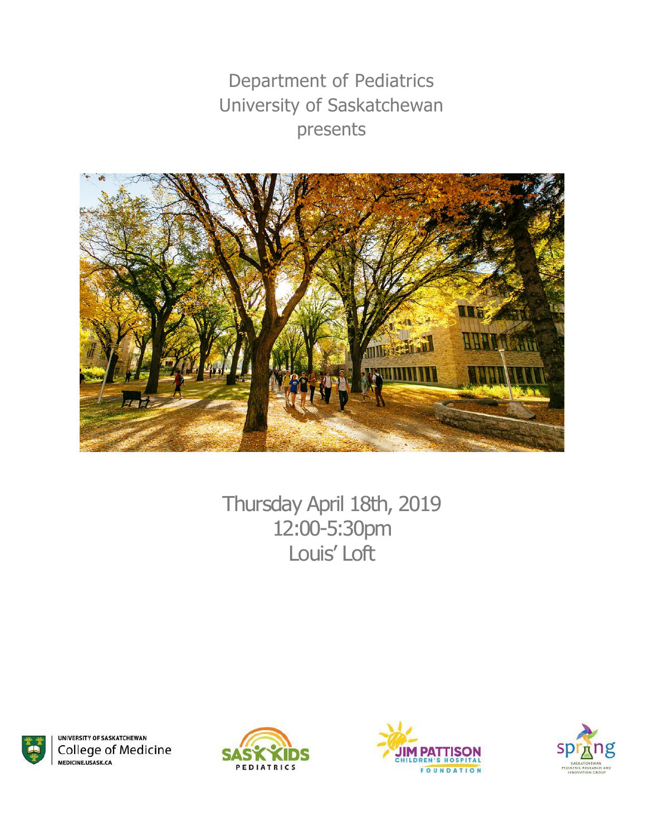Department of Pediatrics University of Saskatchewan presents



Thursday April 18th, 2019 12:00-5:30pm Louis' Loft



**UNIVERSITY OF SASKATCHEWAN College of Medicine** MEDICINE.USASK.CA





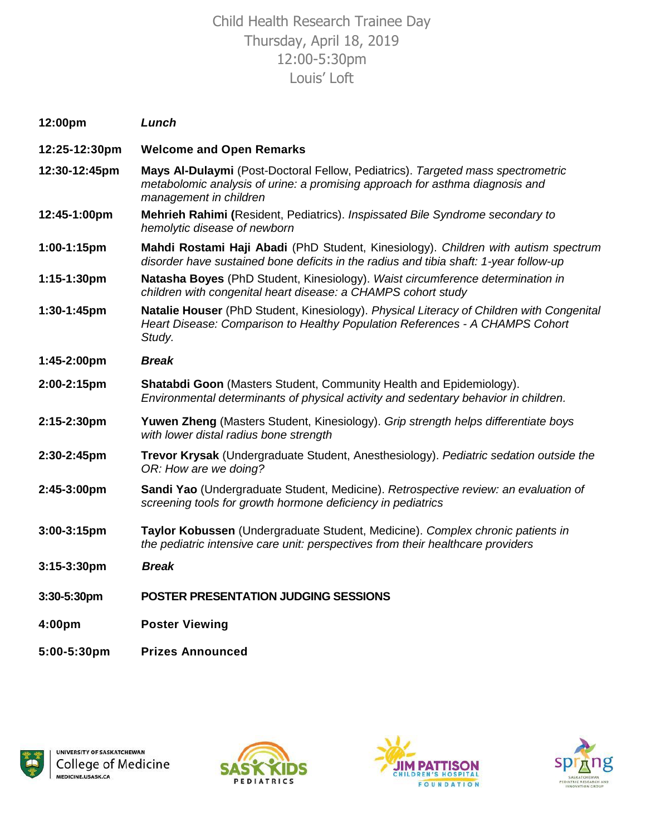# Child Health Research Trainee Day Thursday, April 18, 2019 12:00-5:30pm Louis' Loft

| 12:00pm       | Lunch                                                                                                                                                                                     |
|---------------|-------------------------------------------------------------------------------------------------------------------------------------------------------------------------------------------|
| 12:25-12:30pm | <b>Welcome and Open Remarks</b>                                                                                                                                                           |
| 12:30-12:45pm | Mays Al-Dulaymi (Post-Doctoral Fellow, Pediatrics). Targeted mass spectrometric<br>metabolomic analysis of urine: a promising approach for asthma diagnosis and<br>management in children |
| 12:45-1:00pm  | Mehrieh Rahimi (Resident, Pediatrics). Inspissated Bile Syndrome secondary to<br>hemolytic disease of newborn                                                                             |
| 1:00-1:15pm   | Mahdi Rostami Haji Abadi (PhD Student, Kinesiology). Children with autism spectrum<br>disorder have sustained bone deficits in the radius and tibia shaft: 1-year follow-up               |
| 1:15-1:30pm   | Natasha Boyes (PhD Student, Kinesiology). Waist circumference determination in<br>children with congenital heart disease: a CHAMPS cohort study                                           |
| 1:30-1:45pm   | Natalie Houser (PhD Student, Kinesiology). Physical Literacy of Children with Congenital<br>Heart Disease: Comparison to Healthy Population References - A CHAMPS Cohort<br>Study.        |
| 1:45-2:00pm   | <b>Break</b>                                                                                                                                                                              |
| 2:00-2:15pm   | Shatabdi Goon (Masters Student, Community Health and Epidemiology).<br>Environmental determinants of physical activity and sedentary behavior in children.                                |
| 2:15-2:30pm   | Yuwen Zheng (Masters Student, Kinesiology). Grip strength helps differentiate boys<br>with lower distal radius bone strength                                                              |
| 2:30-2:45pm   | Trevor Krysak (Undergraduate Student, Anesthesiology). Pediatric sedation outside the<br>OR: How are we doing?                                                                            |
| 2:45-3:00pm   | Sandi Yao (Undergraduate Student, Medicine). Retrospective review: an evaluation of<br>screening tools for growth hormone deficiency in pediatrics                                        |
| 3:00-3:15pm   | Taylor Kobussen (Undergraduate Student, Medicine). Complex chronic patients in<br>the pediatric intensive care unit: perspectives from their healthcare providers                         |
| 3:15-3:30pm   | <b>Break</b>                                                                                                                                                                              |
| 3:30-5:30pm   | <b>POSTER PRESENTATION JUDGING SESSIONS</b>                                                                                                                                               |
| 4:00pm        | <b>Poster Viewing</b>                                                                                                                                                                     |
|               |                                                                                                                                                                                           |







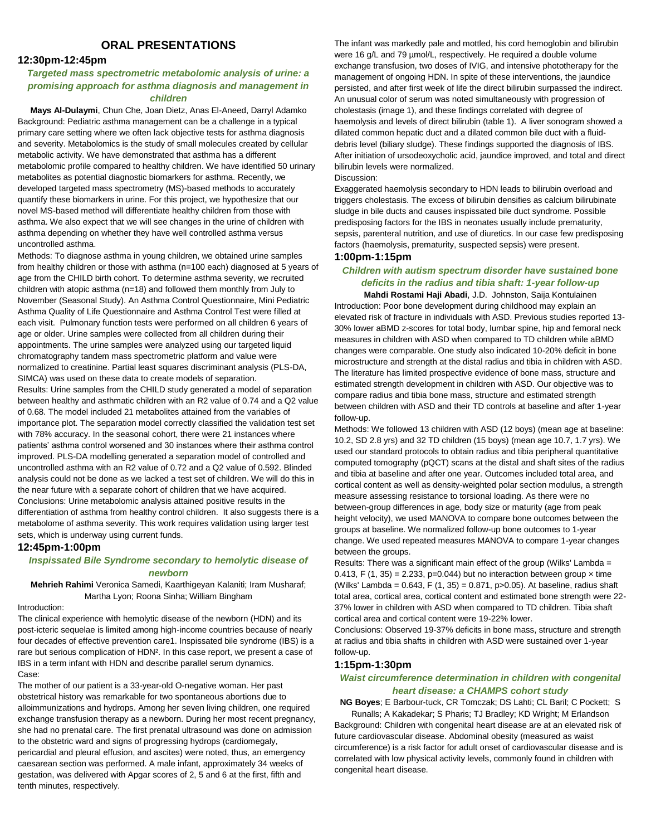# **ORAL PRESENTATIONS**

# **12:30pm-12:45pm**

# *Targeted mass spectrometric metabolomic analysis of urine: a promising approach for asthma diagnosis and management in children*

**Mays Al-Dulaymi**, Chun Che, Joan Dietz, Anas El-Aneed, Darryl Adamko Background: Pediatric asthma management can be a challenge in a typical primary care setting where we often lack objective tests for asthma diagnosis and severity. Metabolomics is the study of small molecules created by cellular metabolic activity. We have demonstrated that asthma has a different metabolomic profile compared to healthy children. We have identified 50 urinary metabolites as potential diagnostic biomarkers for asthma. Recently, we developed targeted mass spectrometry (MS)-based methods to accurately quantify these biomarkers in urine. For this project, we hypothesize that our novel MS-based method will differentiate healthy children from those with asthma. We also expect that we will see changes in the urine of children with asthma depending on whether they have well controlled asthma versus uncontrolled asthma.

Methods: To diagnose asthma in young children, we obtained urine samples from healthy children or those with asthma (n=100 each) diagnosed at 5 years of age from the CHILD birth cohort. To determine asthma severity, we recruited children with atopic asthma (n=18) and followed them monthly from July to November (Seasonal Study). An Asthma Control Questionnaire, Mini Pediatric Asthma Quality of Life Questionnaire and Asthma Control Test were filled at each visit. Pulmonary function tests were performed on all children 6 years of age or older. Urine samples were collected from all children during their appointments. The urine samples were analyzed using our targeted liquid chromatography tandem mass spectrometric platform and value were normalized to creatinine. Partial least squares discriminant analysis (PLS-DA, SIMCA) was used on these data to create models of separation. Results: Urine samples from the CHILD study generated a model of separation between healthy and asthmatic children with an R2 value of 0.74 and a Q2 value of 0.68. The model included 21 metabolites attained from the variables of importance plot. The separation model correctly classified the validation test set with 78% accuracy. In the seasonal cohort, there were 21 instances where patients' asthma control worsened and 30 instances where their asthma control improved. PLS-DA modelling generated a separation model of controlled and uncontrolled asthma with an R2 value of 0.72 and a Q2 value of 0.592. Blinded analysis could not be done as we lacked a test set of children. We will do this in the near future with a separate cohort of children that we have acquired. Conclusions: Urine metabolomic analysis attained positive results in the differentiation of asthma from healthy control children. It also suggests there is a metabolome of asthma severity. This work requires validation using larger test sets, which is underway using current funds.

# **12:45pm-1:00pm**

# *Inspissated Bile Syndrome secondary to hemolytic disease of newborn*

**Mehrieh Rahimi** Veronica Samedi, Kaarthigeyan Kalaniti; Iram Musharaf; Martha Lyon; Roona Sinha; William Bingham

# Introduction:

The clinical experience with hemolytic disease of the newborn (HDN) and its post-icteric sequelae is limited among high-income countries because of nearly four decades of effective prevention care1. Inspissated bile syndrome (IBS) is a rare but serious complication of HDN². In this case report, we present a case of IBS in a term infant with HDN and describe parallel serum dynamics. Case:

The mother of our patient is a 33-year-old O-negative woman. Her past obstetrical history was remarkable for two spontaneous abortions due to alloimmunizations and hydrops. Among her seven living children, one required exchange transfusion therapy as a newborn. During her most recent pregnancy, she had no prenatal care. The first prenatal ultrasound was done on admission to the obstetric ward and signs of progressing hydrops (cardiomegaly, pericardial and pleural effusion, and ascites) were noted, thus, an emergency caesarean section was performed. A male infant, approximately 34 weeks of gestation, was delivered with Apgar scores of 2, 5 and 6 at the first, fifth and tenth minutes, respectively.

The infant was markedly pale and mottled, his cord hemoglobin and bilirubin were 16 g/L and 79 µmol/L, respectively. He required a double volume exchange transfusion, two doses of IVIG, and intensive phototherapy for the management of ongoing HDN. In spite of these interventions, the jaundice persisted, and after first week of life the direct bilirubin surpassed the indirect. An unusual color of serum was noted simultaneously with progression of cholestasis (image 1), and these findings correlated with degree of haemolysis and levels of direct bilirubin (table 1). A liver sonogram showed a dilated common hepatic duct and a dilated common bile duct with a fluid‐ debris level (biliary sludge). These findings supported the diagnosis of IBS. After initiation of ursodeoxycholic acid, jaundice improved, and total and direct bilirubin levels were normalized. Discussion:

Exaggerated haemolysis secondary to HDN leads to bilirubin overload and triggers cholestasis. The excess of bilirubin densifies as calcium bilirubinate sludge in bile ducts and causes inspissated bile duct syndrome. Possible predisposing factors for the IBS in neonates usually include prematurity, sepsis, parenteral nutrition, and use of diuretics. In our case few predisposing factors (haemolysis, prematurity, suspected sepsis) were present.

# **1:00pm-1:15pm**

# *Children with autism spectrum disorder have sustained bone deficits in the radius and tibia shaft: 1-year follow-up*

**Mahdi Rostami Haji Abadi**, J.D. Johnston, Saija Kontulainen Introduction: Poor bone development during childhood may explain an elevated risk of fracture in individuals with ASD. Previous studies reported 13- 30% lower aBMD z-scores for total body, lumbar spine, hip and femoral neck measures in children with ASD when compared to TD children while aBMD changes were comparable. One study also indicated 10-20% deficit in bone microstructure and strength at the distal radius and tibia in children with ASD. The literature has limited prospective evidence of bone mass, structure and estimated strength development in children with ASD. Our objective was to compare radius and tibia bone mass, structure and estimated strength between children with ASD and their TD controls at baseline and after 1-year follow-up.

Methods: We followed 13 children with ASD (12 boys) (mean age at baseline: 10.2, SD 2.8 yrs) and 32 TD children (15 boys) (mean age 10.7, 1.7 yrs). We used our standard protocols to obtain radius and tibia peripheral quantitative computed tomography (pQCT) scans at the distal and shaft sites of the radius and tibia at baseline and after one year. Outcomes included total area, and cortical content as well as density-weighted polar section modulus, a strength measure assessing resistance to torsional loading. As there were no between-group differences in age, body size or maturity (age from peak height velocity), we used MANOVA to compare bone outcomes between the groups at baseline. We normalized follow-up bone outcomes to 1-year change. We used repeated measures MANOVA to compare 1-year changes between the groups.

Results: There was a significant main effect of the group (Wilks' Lambda = 0.413, F (1, 35) = 2.233, p=0.044) but no interaction between group  $\times$  time (Wilks' Lambda =  $0.643$ , F  $(1, 35)$  =  $0.871$ ,  $p > 0.05$ ). At baseline, radius shaft total area, cortical area, cortical content and estimated bone strength were 22- 37% lower in children with ASD when compared to TD children. Tibia shaft cortical area and cortical content were 19-22% lower.

Conclusions: Observed 19-37% deficits in bone mass, structure and strength at radius and tibia shafts in children with ASD were sustained over 1-year follow-up.

# **1:15pm-1:30pm**

# *Waist circumference determination in children with congenital heart disease: a CHAMPS cohort study*

**NG Boyes**; E Barbour-tuck, CR Tomczak; DS Lahti; CL Baril; C Pockett; S

Runalls; A Kakadekar; S Pharis; TJ Bradley; KD Wright; M Erlandson Background: Children with congenital heart disease are at an elevated risk of future cardiovascular disease. Abdominal obesity (measured as waist circumference) is a risk factor for adult onset of cardiovascular disease and is correlated with low physical activity levels, commonly found in children with congenital heart disease.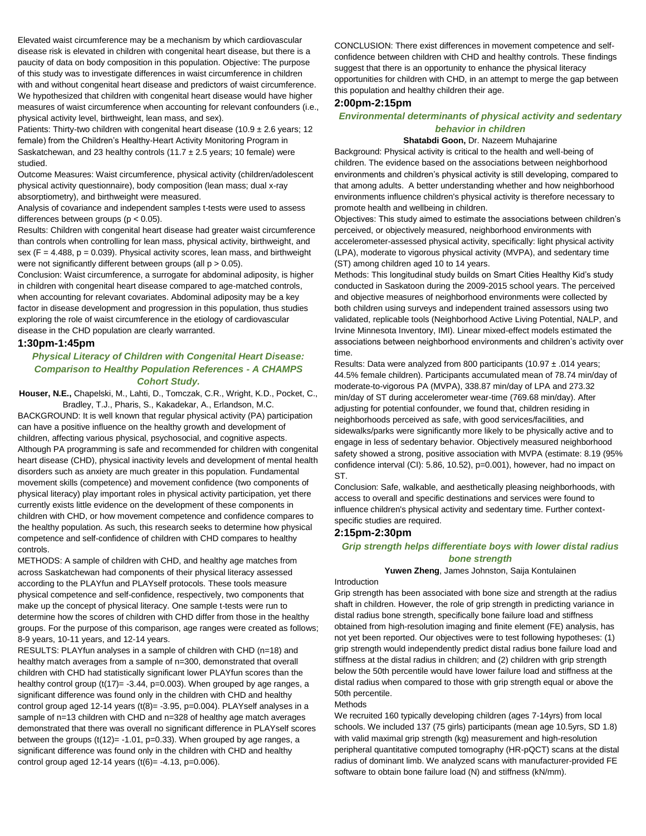Elevated waist circumference may be a mechanism by which cardiovascular disease risk is elevated in children with congenital heart disease, but there is a paucity of data on body composition in this population. Objective: The purpose of this study was to investigate differences in waist circumference in children with and without congenital heart disease and predictors of waist circumference. We hypothesized that children with congenital heart disease would have higher measures of waist circumference when accounting for relevant confounders (i.e., physical activity level, birthweight, lean mass, and sex).

Patients: Thirty-two children with congenital heart disease (10.9  $\pm$  2.6 years; 12 female) from the Children's Healthy-Heart Activity Monitoring Program in Saskatchewan, and 23 healthy controls (11.7  $\pm$  2.5 years; 10 female) were studied.

Outcome Measures: Waist circumference, physical activity (children/adolescent physical activity questionnaire), body composition (lean mass; dual x-ray absorptiometry), and birthweight were measured.

Analysis of covariance and independent samples t-tests were used to assess differences between groups (p < 0.05).

Results: Children with congenital heart disease had greater waist circumference than controls when controlling for lean mass, physical activity, birthweight, and sex  $(F = 4.488, p = 0.039)$ . Physical activity scores, lean mass, and birthweight were not significantly different between groups (all  $p > 0.05$ ).

Conclusion: Waist circumference, a surrogate for abdominal adiposity, is higher in children with congenital heart disease compared to age-matched controls, when accounting for relevant covariates. Abdominal adiposity may be a key factor in disease development and progression in this population, thus studies exploring the role of waist circumference in the etiology of cardiovascular disease in the CHD population are clearly warranted.

# **1:30pm-1:45pm**

# *Physical Literacy of Children with Congenital Heart Disease: Comparison to Healthy Population References - A CHAMPS Cohort Study.*

**Houser, N.E.,** Chapelski, M., Lahti, D., Tomczak, C.R., Wright, K.D., Pocket, C., Bradley, T.J., Pharis, S., Kakadekar, A., Erlandson, M.C.

BACKGROUND: It is well known that regular physical activity (PA) participation can have a positive influence on the healthy growth and development of children, affecting various physical, psychosocial, and cognitive aspects. Although PA programming is safe and recommended for children with congenital heart disease (CHD), physical inactivity levels and development of mental health disorders such as anxiety are much greater in this population. Fundamental movement skills (competence) and movement confidence (two components of physical literacy) play important roles in physical activity participation, yet there currently exists little evidence on the development of these components in children with CHD, or how movement competence and confidence compares to the healthy population. As such, this research seeks to determine how physical competence and self-confidence of children with CHD compares to healthy controls.

METHODS: A sample of children with CHD, and healthy age matches from across Saskatchewan had components of their physical literacy assessed according to the PLAYfun and PLAYself protocols. These tools measure physical competence and self-confidence, respectively, two components that make up the concept of physical literacy. One sample t-tests were run to determine how the scores of children with CHD differ from those in the healthy groups. For the purpose of this comparison, age ranges were created as follows; 8-9 years, 10-11 years, and 12-14 years.

RESULTS: PLAYfun analyses in a sample of children with CHD (n=18) and healthy match averages from a sample of n=300, demonstrated that overall children with CHD had statistically significant lower PLAYfun scores than the healthy control group (t(17)= -3.44, p=0.003). When grouped by age ranges, a significant difference was found only in the children with CHD and healthy control group aged 12-14 years  $(t(8) = -3.95, p=0.004)$ . PLAYself analyses in a sample of n=13 children with CHD and n=328 of healthy age match averages demonstrated that there was overall no significant difference in PLAYself scores between the groups  $(t(12)= -1.01, p=0.33)$ . When grouped by age ranges, a significant difference was found only in the children with CHD and healthy control group aged 12-14 years  $(t(6) = -4.13, p=0.006)$ .

CONCLUSION: There exist differences in movement competence and selfconfidence between children with CHD and healthy controls. These findings suggest that there is an opportunity to enhance the physical literacy opportunities for children with CHD, in an attempt to merge the gap between this population and healthy children their age.

# **2:00pm-2:15pm**

# *Environmental determinants of physical activity and sedentary behavior in children*

# **Shatabdi Goon,** Dr. Nazeem Muhajarine

Background: Physical activity is critical to the health and well-being of children. The evidence based on the associations between neighborhood environments and children's physical activity is still developing, compared to that among adults. A better understanding whether and how neighborhood environments influence children's physical activity is therefore necessary to promote health and wellbeing in children.

Objectives: This study aimed to estimate the associations between children's perceived, or objectively measured, neighborhood environments with accelerometer-assessed physical activity, specifically: light physical activity (LPA), moderate to vigorous physical activity (MVPA), and sedentary time (ST) among children aged 10 to 14 years.

Methods: This longitudinal study builds on Smart Cities Healthy Kid's study conducted in Saskatoon during the 2009-2015 school years. The perceived and objective measures of neighborhood environments were collected by both children using surveys and independent trained assessors using two validated, replicable tools (Neighborhood Active Living Potential, NALP, and Irvine Minnesota Inventory, IMI). Linear mixed-effect models estimated the associations between neighborhood environments and children's activity over time.

Results: Data were analyzed from 800 participants (10.97 ± .014 years; 44.5% female children). Participants accumulated mean of 78.74 min/day of moderate-to-vigorous PA (MVPA), 338.87 min/day of LPA and 273.32 min/day of ST during accelerometer wear-time (769.68 min/day). After adjusting for potential confounder, we found that, children residing in neighborhoods perceived as safe, with good services/facilities, and sidewalks/parks were significantly more likely to be physically active and to engage in less of sedentary behavior. Objectively measured neighborhood safety showed a strong, positive association with MVPA (estimate: 8.19 (95% confidence interval (CI): 5.86, 10.52), p=0.001), however, had no impact on ST.

Conclusion: Safe, walkable, and aesthetically pleasing neighborhoods, with access to overall and specific destinations and services were found to influence children's physical activity and sedentary time. Further contextspecific studies are required.

# **2:15pm-2:30pm**

# *Grip strength helps differentiate boys with lower distal radius bone strength*

# **Yuwen Zheng**, James Johnston, Saija Kontulainen

Introduction

Grip strength has been associated with bone size and strength at the radius shaft in children. However, the role of grip strength in predicting variance in distal radius bone strength, specifically bone failure load and stiffness obtained from high-resolution imaging and finite element (FE) analysis, has not yet been reported. Our objectives were to test following hypotheses: (1) grip strength would independently predict distal radius bone failure load and stiffness at the distal radius in children; and (2) children with grip strength below the 50th percentile would have lower failure load and stiffness at the distal radius when compared to those with grip strength equal or above the 50th percentile.

# Methods

We recruited 160 typically developing children (ages 7-14yrs) from local schools. We included 137 (75 girls) participants (mean age 10.5yrs, SD 1.8) with valid maximal grip strength (kg) measurement and high-resolution peripheral quantitative computed tomography (HR-pQCT) scans at the distal radius of dominant limb. We analyzed scans with manufacturer-provided FE software to obtain bone failure load (N) and stiffness (kN/mm).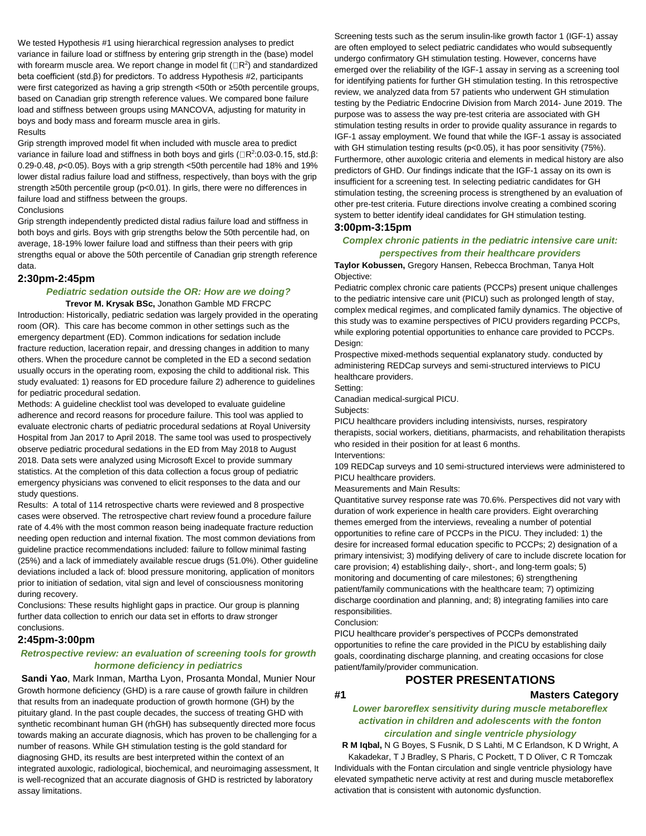We tested Hypothesis #1 using hierarchical regression analyses to predict variance in failure load or stiffness by entering grip strength in the (base) model with forearm muscle area. We report change in model fit  $(IR<sup>2</sup>)$  and standardized beta coefficient (std.β) for predictors. To address Hypothesis #2, participants were first categorized as having a grip strength <50th or ≥50th percentile groups, based on Canadian grip strength reference values. We compared bone failure load and stiffness between groups using MANCOVA, adjusting for maturity in boys and body mass and forearm muscle area in girls.

# Results

Grip strength improved model fit when included with muscle area to predict variance in failure load and stiffness in both boys and girls ( $\Box$ R<sup>2</sup>:0.03-0.15, std.β: 0.29-0.48, *p*<0.05). Boys with a grip strength <50th percentile had 18% and 19% lower distal radius failure load and stiffness, respectively, than boys with the grip strength ≥50th percentile group (p<0.01). In girls, there were no differences in failure load and stiffness between the groups.

### **Conclusions**

Grip strength independently predicted distal radius failure load and stiffness in both boys and girls. Boys with grip strengths below the 50th percentile had, on average, 18-19% lower failure load and stiffness than their peers with grip strengths equal or above the 50th percentile of Canadian grip strength reference data.

# **2:30pm-2:45pm**

# *Pediatric sedation outside the OR: How are we doing?*

**Trevor M. Krysak BSc,** Jonathon Gamble MD FRCPC Introduction: Historically, pediatric sedation was largely provided in the operating room (OR). This care has become common in other settings such as the emergency department (ED). Common indications for sedation include fracture reduction, laceration repair, and dressing changes in addition to many others. When the procedure cannot be completed in the ED a second sedation usually occurs in the operating room, exposing the child to additional risk. This study evaluated: 1) reasons for ED procedure failure 2) adherence to guidelines for pediatric procedural sedation.

Methods: A guideline checklist tool was developed to evaluate guideline adherence and record reasons for procedure failure. This tool was applied to evaluate electronic charts of pediatric procedural sedations at Royal University Hospital from Jan 2017 to April 2018. The same tool was used to prospectively observe pediatric procedural sedations in the ED from May 2018 to August 2018. Data sets were analyzed using Microsoft Excel to provide summary statistics. At the completion of this data collection a focus group of pediatric emergency physicians was convened to elicit responses to the data and our study questions.

Results: A total of 114 retrospective charts were reviewed and 8 prospective cases were observed. The retrospective chart review found a procedure failure rate of 4.4% with the most common reason being inadequate fracture reduction needing open reduction and internal fixation. The most common deviations from guideline practice recommendations included: failure to follow minimal fasting (25%) and a lack of immediately available rescue drugs (51.0%). Other guideline deviations included a lack of: blood pressure monitoring, application of monitors prior to initiation of sedation, vital sign and level of consciousness monitoring during recovery.

Conclusions: These results highlight gaps in practice. Our group is planning further data collection to enrich our data set in efforts to draw stronger conclusions.

# **2:45pm-3:00pm**

# *Retrospective review: an evaluation of screening tools for growth hormone deficiency in pediatrics*

**Sandi Yao**, Mark Inman, Martha Lyon, Prosanta Mondal, Munier Nour Growth hormone deficiency (GHD) is a rare cause of growth failure in children that results from an inadequate production of growth hormone (GH) by the pituitary gland. In the past couple decades, the success of treating GHD with synthetic recombinant human GH (rhGH) has subsequently directed more focus towards making an accurate diagnosis, which has proven to be challenging for a number of reasons. While GH stimulation testing is the gold standard for diagnosing GHD, its results are best interpreted within the context of an integrated auxologic, radiological, biochemical, and neuroimaging assessment, It is well-recognized that an accurate diagnosis of GHD is restricted by laboratory assay limitations.

Screening tests such as the serum insulin-like growth factor 1 (IGF-1) assay are often employed to select pediatric candidates who would subsequently undergo confirmatory GH stimulation testing. However, concerns have emerged over the reliability of the IGF-1 assay in serving as a screening tool for identifying patients for further GH stimulation testing. In this retrospective review, we analyzed data from 57 patients who underwent GH stimulation testing by the Pediatric Endocrine Division from March 2014- June 2019. The purpose was to assess the way pre-test criteria are associated with GH stimulation testing results in order to provide quality assurance in regards to IGF-1 assay employment. We found that while the IGF-1 assay is associated with GH stimulation testing results (p<0.05), it has poor sensitivity (75%). Furthermore, other auxologic criteria and elements in medical history are also predictors of GHD. Our findings indicate that the IGF-1 assay on its own is insufficient for a screening test. In selecting pediatric candidates for GH stimulation testing, the screening process is strengthened by an evaluation of other pre-test criteria. Future directions involve creating a combined scoring system to better identify ideal candidates for GH stimulation testing.

# **3:00pm-3:15pm**

# *Complex chronic patients in the pediatric intensive care unit: perspectives from their healthcare providers*

**Taylor Kobussen,** Gregory Hansen, Rebecca Brochman, Tanya Holt Objective:

Pediatric complex chronic care patients (PCCPs) present unique challenges to the pediatric intensive care unit (PICU) such as prolonged length of stay, complex medical regimes, and complicated family dynamics. The objective of this study was to examine perspectives of PICU providers regarding PCCPs, while exploring potential opportunities to enhance care provided to PCCPs. Design:

Prospective mixed-methods sequential explanatory study. conducted by administering REDCap surveys and semi-structured interviews to PICU healthcare providers.

Setting:

Canadian medical-surgical PICU.

Subjects:

PICU healthcare providers including intensivists, nurses, respiratory therapists, social workers, dietitians, pharmacists, and rehabilitation therapists who resided in their position for at least 6 months.

Interventions:

109 REDCap surveys and 10 semi-structured interviews were administered to PICU healthcare providers.

Measurements and Main Results:

Quantitative survey response rate was 70.6%. Perspectives did not vary with duration of work experience in health care providers. Eight overarching themes emerged from the interviews, revealing a number of potential opportunities to refine care of PCCPs in the PICU. They included: 1) the desire for increased formal education specific to PCCPs; 2) designation of a primary intensivist; 3) modifying delivery of care to include discrete location for care provision; 4) establishing daily-, short-, and long-term goals; 5) monitoring and documenting of care milestones; 6) strengthening patient/family communications with the healthcare team; 7) optimizing discharge coordination and planning, and; 8) integrating families into care responsibilities.

Conclusion:

PICU healthcare provider's perspectives of PCCPs demonstrated opportunities to refine the care provided in the PICU by establishing daily goals, coordinating discharge planning, and creating occasions for close patient/family/provider communication.

# **POSTER PRESENTATIONS**

# **#1 Masters Category**

# *Lower baroreflex sensitivity during muscle metaboreflex activation in children and adolescents with the fonton circulation and single ventricle physiology*

**R M Iqbal,** N G Boyes, S Fusnik, D S Lahti, M C Erlandson, K D Wright, A Kakadekar, T J Bradley, S Pharis, C Pockett, T D Oliver, C R Tomczak Individuals with the Fontan circulation and single ventricle physiology have elevated sympathetic nerve activity at rest and during muscle metaboreflex activation that is consistent with autonomic dysfunction.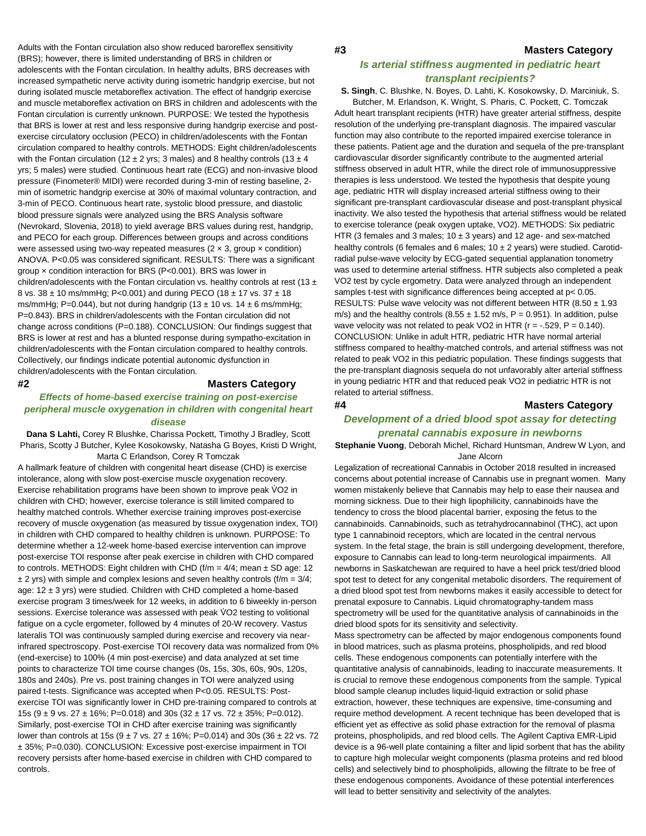Adults with the Fontan circulation also show reduced baroreflex sensitivity (BRS); however, there is limited understanding of BRS in children or adolescents with the Fontan circulation. In healthy adults, BRS decreases with increased sympathetic nerve activity during isometric handgrip exercise, but not during isolated muscle metaboreflex activation. The effect of handgrip exercise and muscle metaboreflex activation on BRS in children and adolescents with the Fontan circulation is currently unknown. PURPOSE: We tested the hypothesis that BRS is lower at rest and less responsive during handgrip exercise and postexercise circulatory occlusion (PECO) in children/adolescents with the Fontan circulation compared to healthy controls. METHODS: Eight children/adolescents with the Fontan circulation (12  $\pm$  2 yrs; 3 males) and 8 healthy controls (13  $\pm$  4 yrs; 5 males) were studied. Continuous heart rate (ECG) and non-invasive blood pressure (Finometer® MIDI) were recorded during 3-min of resting baseline, 2 min of isometric handgrip exercise at 30% of maximal voluntary contraction, and 3-min of PECO. Continuous heart rate, systolic blood pressure, and diastolic blood pressure signals were analyzed using the BRS Analysis software (Nevrokard, Slovenia, 2018) to yield average BRS values during rest, handgrip, and PECO for each group. Differences between groups and across conditions were assessed using two-way repeated measures  $(2 \times 3, \text{ group} \times \text{condition})$ ANOVA. P<0.05 was considered significant. RESULTS: There was a significant group × condition interaction for BRS (P<0.001). BRS was lower in children/adolescents with the Fontan circulation vs. healthy controls at rest (13  $\pm$ 8 vs.  $38 \pm 10$  ms/mmHg; P<0.001) and during PECO (18  $\pm$  17 vs. 37  $\pm$  18 ms/mmHg; P=0.044), but not during handgrip (13  $\pm$  10 vs. 14  $\pm$  6 ms/mmHg; P=0.843). BRS in children/adolescents with the Fontan circulation did not change across conditions (P=0.188). CONCLUSION: Our findings suggest that BRS is lower at rest and has a blunted response during sympatho-excitation in children/adolescents with the Fontan circulation compared to healthy controls. Collectively, our findings indicate potential autonomic dysfunction in children/adolescents with the Fontan circulation.

# **#2 Masters Category**

# *Effects of home-based exercise training on post-exercise peripheral muscle oxygenation in children with congenital heart disease*

**Dana S Lahti,** Corey R Blushke, Charissa Pockett, Timothy J Bradley, Scott Pharis, Scotty J Butcher, Kylee Kosokowsky, Natasha G Boyes, Kristi D Wright, Marta C Erlandson, Corey R Tomczak

A hallmark feature of children with congenital heart disease (CHD) is exercise intolerance, along with slow post-exercise muscle oxygenation recovery. Exercise rehabilitation programs have been shown to improve peak VO2 in children with CHD; however, exercise tolerance is still limited compared to healthy matched controls. Whether exercise training improves post-exercise recovery of muscle oxygenation (as measured by tissue oxygenation index, TOI) in children with CHD compared to healthy children is unknown. PURPOSE: To determine whether a 12-week home-based exercise intervention can improve post-exercise TOI response after peak exercise in children with CHD compared to controls. METHODS: Eight children with CHD ( $f/m = 4/4$ ; mean  $\pm$  SD age: 12  $\pm$  2 yrs) with simple and complex lesions and seven healthy controls (f/m = 3/4; age:  $12 \pm 3$  yrs) were studied. Children with CHD completed a home-based exercise program 3 times/week for 12 weeks, in addition to 6 biweekly in-person sessions. Exercise tolerance was assessed with peak VO2 testing to volitional fatigue on a cycle ergometer, followed by 4 minutes of 20-W recovery. Vastus lateralis TOI was continuously sampled during exercise and recovery via nearinfrared spectroscopy. Post-exercise TOI recovery data was normalized from 0% (end-exercise) to 100% (4 min post-exercise) and data analyzed at set time points to characterize TOI time course changes (0s, 15s, 30s, 60s, 90s, 120s, 180s and 240s). Pre vs. post training changes in TOI were analyzed using paired t-tests. Significance was accepted when P<0.05. RESULTS: Postexercise TOI was significantly lower in CHD pre-training compared to controls at 15s ( $9 \pm 9$  vs. 27  $\pm$  16%; P=0.018) and 30s (32  $\pm$  17 vs. 72  $\pm$  35%; P=0.012). Similarly, post-exercise TOI in CHD after exercise training was significantly lower than controls at 15s ( $9 \pm 7$  vs.  $27 \pm 16$ %; P=0.014) and 30s (36  $\pm 22$  vs. 72 ± 35%; P=0.030). CONCLUSION: Excessive post-exercise impairment in TOI recovery persists after home-based exercise in children with CHD compared to controls.

# *Is arterial stiffness augmented in pediatric heart transplant recipients?*

**S. Singh**, C. Blushke, N. Boyes, D. Lahti, K. Kosokowsky, D. Marciniuk, S.

Butcher, M. Erlandson, K. Wright, S. Pharis, C. Pockett, C. Tomczak Adult heart transplant recipients (HTR) have greater arterial stiffness, despite resolution of the underlying pre-transplant diagnosis. The impaired vascular function may also contribute to the reported impaired exercise tolerance in these patients. Patient age and the duration and sequela of the pre-transplant cardiovascular disorder significantly contribute to the augmented arterial stiffness observed in adult HTR, while the direct role of immunosuppressive therapies is less understood. We tested the hypothesis that despite young age, pediatric HTR will display increased arterial stiffness owing to their significant pre-transplant cardiovascular disease and post-transplant physical inactivity. We also tested the hypothesis that arterial stiffness would be related to exercise tolerance (peak oxygen uptake, VO2). METHODS: Six pediatric HTR (3 females and 3 males;  $10 \pm 3$  years) and 12 age- and sex-matched healthy controls (6 females and 6 males;  $10 \pm 2$  years) were studied. Carotidradial pulse-wave velocity by ECG-gated sequential applanation tonometry was used to determine arterial stiffness. HTR subjects also completed a peak VO2 test by cycle ergometry. Data were analyzed through an independent samples t-test with significance differences being accepted at p< 0.05. RESULTS: Pulse wave velocity was not different between HTR (8.50 ± 1.93 m/s) and the healthy controls  $(8.55 \pm 1.52 \text{ m/s}, P = 0.951)$ . In addition, pulse wave velocity was not related to peak VO2 in HTR ( $r = -0.529$ ,  $P = 0.140$ ). CONCLUSION: Unlike in adult HTR, pediatric HTR have normal arterial stiffness compared to healthy-matched controls, and arterial stiffness was not related to peak VO2 in this pediatric population. These findings suggests that the pre-transplant diagnosis sequela do not unfavorably alter arterial stiffness in young pediatric HTR and that reduced peak VO2 in pediatric HTR is not related to arterial stiffness.

# **#4 Masters Category**

# *Development of a dried blood spot assay for detecting prenatal cannabis exposure in newborns*

**Stephanie Vuong**, Deborah Michel, Richard Huntsman, Andrew W Lyon, and Jane Alcorn

Legalization of recreational Cannabis in October 2018 resulted in increased concerns about potential increase of Cannabis use in pregnant women. Many women mistakenly believe that Cannabis may help to ease their nausea and morning sickness. Due to their high lipophilicity, cannabinoids have the tendency to cross the blood placental barrier, exposing the fetus to the cannabinoids. Cannabinoids, such as tetrahydrocannabinol (THC), act upon type 1 cannabinoid receptors, which are located in the central nervous system. In the fetal stage, the brain is still undergoing development, therefore, exposure to Cannabis can lead to long-term neurological impairments. All newborns in Saskatchewan are required to have a heel prick test/dried blood spot test to detect for any congenital metabolic disorders. The requirement of a dried blood spot test from newborns makes it easily accessible to detect for prenatal exposure to Cannabis. Liquid chromatography-tandem mass spectrometry will be used for the quantitative analysis of cannabinoids in the dried blood spots for its sensitivity and selectivity.

Mass spectrometry can be affected by major endogenous components found in blood matrices, such as plasma proteins, phospholipids, and red blood cells. These endogenous components can potentially interfere with the quantitative analysis of cannabinoids, leading to inaccurate measurements. It is crucial to remove these endogenous components from the sample. Typical blood sample cleanup includes liquid-liquid extraction or solid phase extraction, however, these techniques are expensive, time-consuming and require method development. A recent technique has been developed that is efficient yet as effective as solid phase extraction for the removal of plasma proteins, phospholipids, and red blood cells. The Agilent Captiva EMR-Lipid device is a 96-well plate containing a filter and lipid sorbent that has the ability to capture high molecular weight components (plasma proteins and red blood cells) and selectively bind to phospholipids, allowing the filtrate to be free of these endogenous components. Avoidance of these potential interferences will lead to better sensitivity and selectivity of the analytes.

# **#3 Masters Category**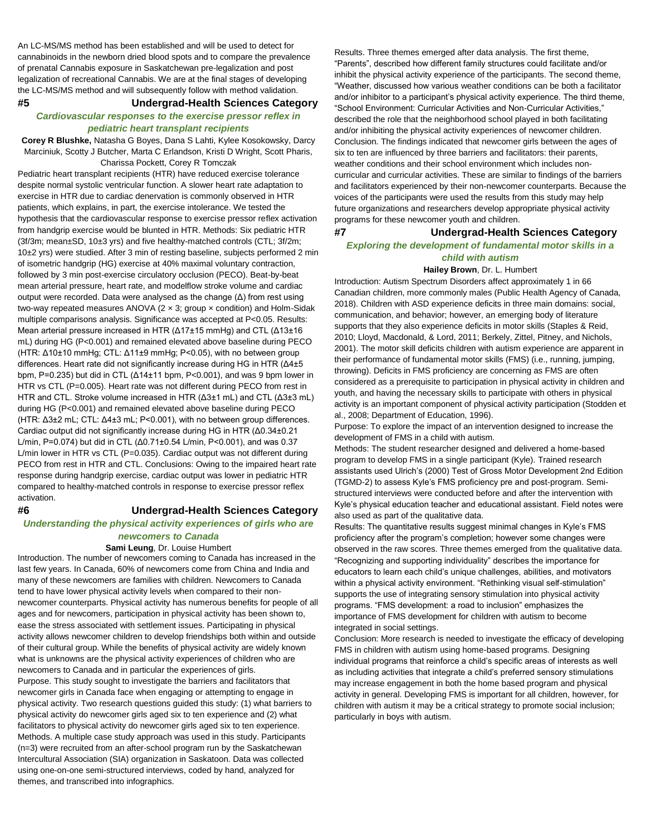An LC-MS/MS method has been established and will be used to detect for cannabinoids in the newborn dried blood spots and to compare the prevalence of prenatal Cannabis exposure in Saskatchewan pre-legalization and post legalization of recreational Cannabis. We are at the final stages of developing the LC-MS/MS method and will subsequently follow with method validation.

# **#5 Undergrad-Health Sciences Category**

# *Cardiovascular responses to the exercise pressor reflex in pediatric heart transplant recipients*

**Corey R Blushke,** Natasha G Boyes, Dana S Lahti, Kylee Kosokowsky, Darcy Marciniuk, Scotty J Butcher, Marta C Erlandson, Kristi D Wright, Scott Pharis, Charissa Pockett, Corey R Tomczak

Pediatric heart transplant recipients (HTR) have reduced exercise tolerance despite normal systolic ventricular function. A slower heart rate adaptation to exercise in HTR due to cardiac denervation is commonly observed in HTR patients, which explains, in part, the exercise intolerance. We tested the hypothesis that the cardiovascular response to exercise pressor reflex activation from handgrip exercise would be blunted in HTR. Methods: Six pediatric HTR (3f/3m; mean±SD, 10±3 yrs) and five healthy-matched controls (CTL; 3f/2m; 10±2 yrs) were studied. After 3 min of resting baseline, subjects performed 2 min of isometric handgrip (HG) exercise at 40% maximal voluntary contraction, followed by 3 min post-exercise circulatory occlusion (PECO). Beat-by-beat mean arterial pressure, heart rate, and modelflow stroke volume and cardiac output were recorded. Data were analysed as the change (Δ) from rest using two-way repeated measures ANOVA ( $2 \times 3$ ; group  $\times$  condition) and Holm-Sidak multiple comparisons analysis. Significance was accepted at P<0.05. Results: Mean arterial pressure increased in HTR (Δ17±15 mmHg) and CTL (Δ13±16 mL) during HG (P<0.001) and remained elevated above baseline during PECO (HTR: Δ10±10 mmHg; CTL: Δ11±9 mmHg; P<0.05), with no between group differences. Heart rate did not significantly increase during HG in HTR (Δ4±5 bpm, P=0.235) but did in CTL (Δ14±11 bpm, P<0.001), and was 9 bpm lower in HTR vs CTL (P=0.005). Heart rate was not different during PECO from rest in HTR and CTL. Stroke volume increased in HTR (Δ3±1 mL) and CTL (Δ3±3 mL) during HG (P<0.001) and remained elevated above baseline during PECO (HTR: Δ3±2 mL; CTL: Δ4±3 mL; P<0.001), with no between group differences. Cardiac output did not significantly increase during HG in HTR (Δ0.34±0.21 L/min, P=0.074) but did in CTL (Δ0.71±0.54 L/min, P<0.001), and was 0.37 L/min lower in HTR vs CTL (P=0.035). Cardiac output was not different during PECO from rest in HTR and CTL. Conclusions: Owing to the impaired heart rate response during handgrip exercise, cardiac output was lower in pediatric HTR compared to healthy-matched controls in response to exercise pressor reflex activation.

# **#6 Undergrad-Health Sciences Category**

# *Understanding the physical activity experiences of girls who are newcomers to Canada*

### **Sami Leung**, Dr. Louise Humbert

Introduction. The number of newcomers coming to Canada has increased in the last few years. In Canada, 60% of newcomers come from China and India and many of these newcomers are families with children. Newcomers to Canada tend to have lower physical activity levels when compared to their nonnewcomer counterparts. Physical activity has numerous benefits for people of all ages and for newcomers, participation in physical activity has been shown to, ease the stress associated with settlement issues. Participating in physical activity allows newcomer children to develop friendships both within and outside of their cultural group. While the benefits of physical activity are widely known what is unknowns are the physical activity experiences of children who are newcomers to Canada and in particular the experiences of girls. Purpose. This study sought to investigate the barriers and facilitators that newcomer girls in Canada face when engaging or attempting to engage in physical activity. Two research questions guided this study: (1) what barriers to physical activity do newcomer girls aged six to ten experience and (2) what facilitators to physical activity do newcomer girls aged six to ten experience. Methods. A multiple case study approach was used in this study. Participants (n=3) were recruited from an after-school program run by the Saskatchewan Intercultural Association (SIA) organization in Saskatoon. Data was collected using one-on-one semi-structured interviews, coded by hand, analyzed for themes, and transcribed into infographics.

Results. Three themes emerged after data analysis. The first theme, "Parents", described how different family structures could facilitate and/or inhibit the physical activity experience of the participants. The second theme, "Weather, discussed how various weather conditions can be both a facilitator and/or inhibitor to a participant's physical activity experience. The third theme, "School Environment: Curricular Activities and Non-Curricular Activities," described the role that the neighborhood school played in both facilitating and/or inhibiting the physical activity experiences of newcomer children. Conclusion. The findings indicated that newcomer girls between the ages of six to ten are influenced by three barriers and facilitators: their parents, weather conditions and their school environment which includes noncurricular and curricular activities. These are similar to findings of the barriers and facilitators experienced by their non-newcomer counterparts. Because the voices of the participants were used the results from this study may help future organizations and researchers develop appropriate physical activity programs for these newcomer youth and children.

# **#7 Undergrad-Health Sciences Category** *Exploring the development of fundamental motor skills in a child with autism*

### **Hailey Brown**, Dr. L. Humbert

Introduction: Autism Spectrum Disorders affect approximately 1 in 66 Canadian children, more commonly males (Public Health Agency of Canada, 2018). Children with ASD experience deficits in three main domains: social, communication, and behavior; however, an emerging body of literature supports that they also experience deficits in motor skills (Staples & Reid, 2010; Lloyd, Macdonald, & Lord, 2011; Berkely, Zittel, Pitney, and Nichols, 2001). The motor skill deficits children with autism experience are apparent in their performance of fundamental motor skills (FMS) (i.e., running, jumping, throwing). Deficits in FMS proficiency are concerning as FMS are often considered as a prerequisite to participation in physical activity in children and youth, and having the necessary skills to participate with others in physical activity is an important component of physical activity participation (Stodden et al., 2008; Department of Education, 1996).

Purpose: To explore the impact of an intervention designed to increase the development of FMS in a child with autism.

Methods: The student researcher designed and delivered a home-based program to develop FMS in a single participant (Kyle). Trained research assistants used Ulrich's (2000) Test of Gross Motor Development 2nd Edition (TGMD-2) to assess Kyle's FMS proficiency pre and post-program. Semistructured interviews were conducted before and after the intervention with Kyle's physical education teacher and educational assistant. Field notes were also used as part of the qualitative data.

Results: The quantitative results suggest minimal changes in Kyle's FMS proficiency after the program's completion; however some changes were observed in the raw scores. Three themes emerged from the qualitative data. "Recognizing and supporting individuality" describes the importance for educators to learn each child's unique challenges, abilities, and motivators within a physical activity environment. "Rethinking visual self-stimulation" supports the use of integrating sensory stimulation into physical activity programs. "FMS development: a road to inclusion" emphasizes the importance of FMS development for children with autism to become integrated in social settings.

Conclusion: More research is needed to investigate the efficacy of developing FMS in children with autism using home-based programs. Designing individual programs that reinforce a child's specific areas of interests as well as including activities that integrate a child's preferred sensory stimulations may increase engagement in both the home based program and physical activity in general. Developing FMS is important for all children, however, for children with autism it may be a critical strategy to promote social inclusion; particularly in boys with autism.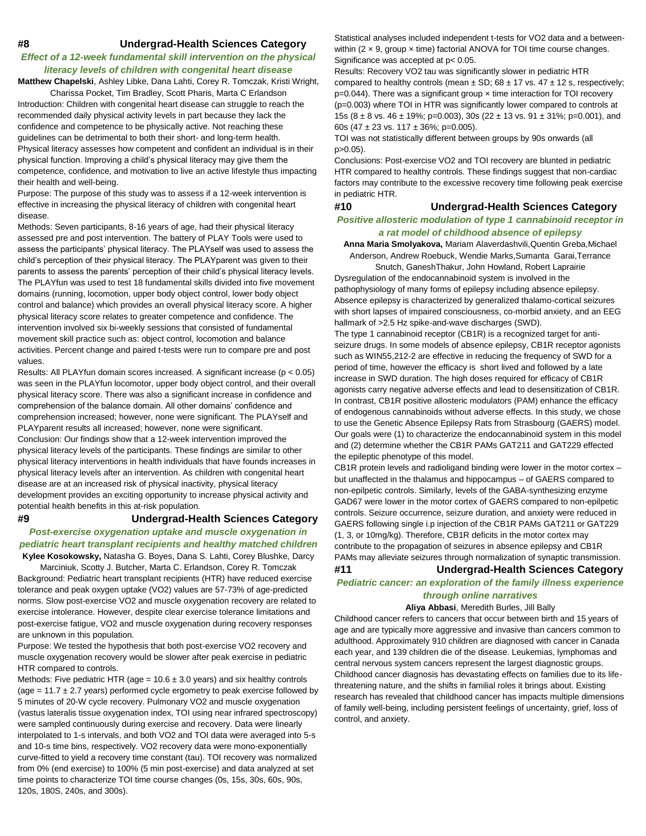# **#8 Undergrad-Health Sciences Category**

# *Effect of a 12-week fundamental skill intervention on the physical literacy levels of children with congenital heart disease*

**Matthew Chapelski**, Ashley Libke, Dana Lahti, Corey R. Tomczak, Kristi Wright,

Charissa Pocket, Tim Bradley, Scott Pharis, Marta C Erlandson Introduction: Children with congenital heart disease can struggle to reach the recommended daily physical activity levels in part because they lack the confidence and competence to be physically active. Not reaching these guidelines can be detrimental to both their short- and long-term health. Physical literacy assesses how competent and confident an individual is in their physical function. Improving a child's physical literacy may give them the competence, confidence, and motivation to live an active lifestyle thus impacting their health and well-being.

Purpose: The purpose of this study was to assess if a 12-week intervention is effective in increasing the physical literacy of children with congenital heart disease.

Methods: Seven participants, 8-16 years of age, had their physical literacy assessed pre and post intervention. The battery of PLAY Tools were used to assess the participants' physical literacy. The PLAYself was used to assess the child's perception of their physical literacy. The PLAYparent was given to their parents to assess the parents' perception of their child's physical literacy levels. The PLAYfun was used to test 18 fundamental skills divided into five movement domains (running, locomotion, upper body object control, lower body object control and balance) which provides an overall physical literacy score. A higher physical literacy score relates to greater competence and confidence. The intervention involved six bi-weekly sessions that consisted of fundamental movement skill practice such as: object control, locomotion and balance activities. Percent change and paired t-tests were run to compare pre and post values.

Results: All PLAYfun domain scores increased. A significant increase (p < 0.05) was seen in the PLAYfun locomotor, upper body object control, and their overall physical literacy score. There was also a significant increase in confidence and comprehension of the balance domain. All other domains' confidence and comprehension increased; however, none were significant. The PLAYself and PLAYparent results all increased; however, none were significant. Conclusion: Our findings show that a 12-week intervention improved the physical literacy levels of the participants. These findings are similar to other

physical literacy interventions in health individuals that have founds increases in physical literacy levels after an intervention. As children with congenital heart disease are at an increased risk of physical inactivity, physical literacy development provides an exciting opportunity to increase physical activity and potential health benefits in this at-risk population.

# **#9 Undergrad-Health Sciences Category**

*Post-exercise oxygenation uptake and muscle oxygenation in pediatric heart transplant recipients and healthy matched children*  **Kylee Kosokowsky,** Natasha G. Boyes, Dana S. Lahti, Corey Blushke, Darcy

Marciniuk, Scotty J. Butcher, Marta C. Erlandson, Corey R. Tomczak Background: Pediatric heart transplant recipients (HTR) have reduced exercise tolerance and peak oxygen uptake (VO2) values are 57-73% of age-predicted norms. Slow post-exercise VO2 and muscle oxygenation recovery are related to exercise intolerance. However, despite clear exercise tolerance limitations and post-exercise fatigue, VO2 and muscle oxygenation during recovery responses are unknown in this population.

Purpose: We tested the hypothesis that both post-exercise VO2 recovery and muscle oxygenation recovery would be slower after peak exercise in pediatric HTR compared to controls.

Methods: Five pediatric HTR (age =  $10.6 \pm 3.0$  years) and six healthy controls (age =  $11.7 \pm 2.7$  years) performed cycle ergometry to peak exercise followed by 5 minutes of 20-W cycle recovery. Pulmonary VO2 and muscle oxygenation (vastus lateralis tissue oxygenation index, TOI using near infrared spectroscopy) were sampled continuously during exercise and recovery. Data were linearly interpolated to 1-s intervals, and both VO2 and TOI data were averaged into 5-s and 10-s time bins, respectively. VO2 recovery data were mono-exponentially curve-fitted to yield a recovery time constant (tau). TOI recovery was normalized from 0% (end exercise) to 100% (5 min post-exercise) and data analyzed at set time points to characterize TOI time course changes (0s, 15s, 30s, 60s, 90s, 120s, 180S, 240s, and 300s).

Statistical analyses included independent t-tests for VO2 data and a betweenwithin  $(2 \times 9$ , group  $\times$  time) factorial ANOVA for TOI time course changes. Significance was accepted at p< 0.05.

Results: Recovery VO2 tau was significantly slower in pediatric HTR compared to healthy controls (mean  $\pm$  SD; 68  $\pm$  17 vs. 47  $\pm$  12 s, respectively; p=0.044). There was a significant group × time interaction for TOI recovery (p=0.003) where TOI in HTR was significantly lower compared to controls at 15s (8  $\pm$  8 vs. 46  $\pm$  19%; p=0.003), 30s (22  $\pm$  13 vs. 91  $\pm$  31%; p=0.001), and 60s (47 ± 23 vs. 117 ± 36%; p=0.005).

TOI was not statistically different between groups by 90s onwards (all  $p > 0.05$ ).

Conclusions: Post-exercise VO2 and TOI recovery are blunted in pediatric HTR compared to healthy controls. These findings suggest that non-cardiac factors may contribute to the excessive recovery time following peak exercise in pediatric HTR.

# **#10 Undergrad-Health Sciences Category**

# *Positive allosteric modulation of type 1 cannabinoid receptor in a rat model of childhood absence of epilepsy*

**Anna Maria Smolyakova,** Mariam Alaverdashvili,Quentin Greba,Michael Anderson, Andrew Roebuck, Wendie Marks,Sumanta Garai,Terrance

Snutch, GaneshThakur, John Howland, Robert Laprairie Dysregulation of the endocannabinoid system is involved in the pathophysiology of many forms of epilepsy including absence epilepsy. Absence epilepsy is characterized by generalized thalamo-cortical seizures with short lapses of impaired consciousness, co-morbid anxiety, and an EEG hallmark of >2.5 Hz spike-and-wave discharges (SWD).

The type 1 cannabinoid receptor (CB1R) is a recognized target for antiseizure drugs. In some models of absence epilepsy, CB1R receptor agonists such as WIN55,212-2 are effective in reducing the frequency of SWD for a period of time, however the efficacy is short lived and followed by a late increase in SWD duration. The high doses required for efficacy of CB1R agonists carry negative adverse effects and lead to desensitization of CB1R. In contrast, CB1R positive allosteric modulators (PAM) enhance the efficacy of endogenous cannabinoids without adverse effects. In this study, we chose to use the Genetic Absence Epilepsy Rats from Strasbourg (GAERS) model. Our goals were (1) to characterize the endocannabinoid system in this model and (2) determine whether the CB1R PAMs GAT211 and GAT229 effected the epileptic phenotype of this model.

CB1R protein levels and radioligand binding were lower in the motor cortex – but unaffected in the thalamus and hippocampus – of GAERS compared to non-epilpetic controls. Similarly, levels of the GABA-synthesizing enzyme GAD67 were lower in the motor cortex of GAERS compared to non-epilpetic controls. Seizure occurrence, seizure duration, and anxiety were reduced in GAERS following single i.p injection of the CB1R PAMs GAT211 or GAT229 (1, 3, or 10mg/kg). Therefore, CB1R deficits in the motor cortex may contribute to the propagation of seizures in absence epilepsy and CB1R PAMs may alleviate seizures through normalization of synaptic transmission.

# **#11 Undergrad-Health Sciences Category** *Pediatric cancer: an exploration of the family illness experience through online narratives*

# **Aliya Abbasi**, Meredith Burles, Jill Bally

Childhood cancer refers to cancers that occur between birth and 15 years of age and are typically more aggressive and invasive than cancers common to adulthood. Approximately 910 children are diagnosed with cancer in Canada each year, and 139 children die of the disease. Leukemias, lymphomas and central nervous system cancers represent the largest diagnostic groups. Childhood cancer diagnosis has devastating effects on families due to its lifethreatening nature, and the shifts in familial roles it brings about. Existing research has revealed that childhood cancer has impacts multiple dimensions of family well-being, including persistent feelings of uncertainty, grief, loss of control, and anxiety.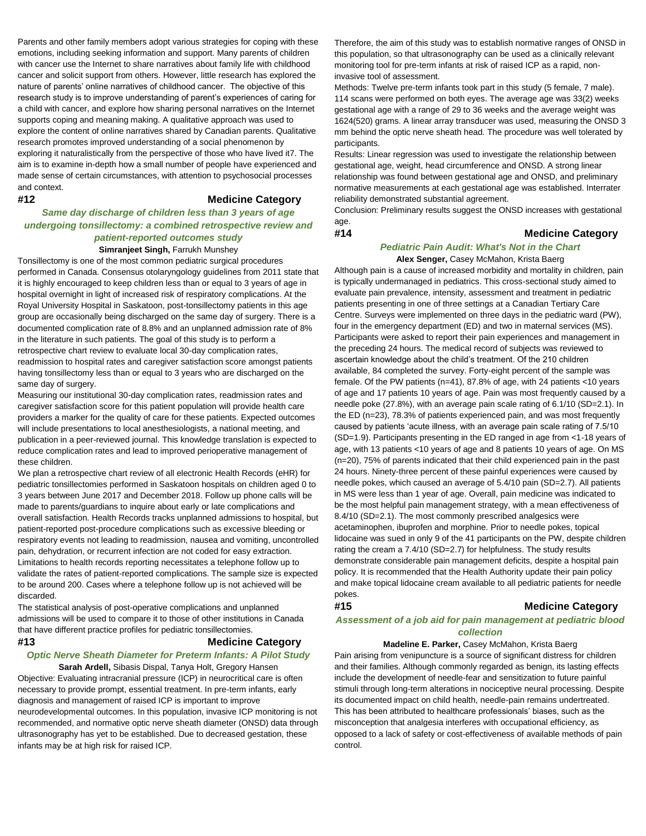Parents and other family members adopt various strategies for coping with these emotions, including seeking information and support. Many parents of children with cancer use the Internet to share narratives about family life with childhood cancer and solicit support from others. However, little research has explored the nature of parents' online narratives of childhood cancer. The objective of this research study is to improve understanding of parent's experiences of caring for a child with cancer, and explore how sharing personal narratives on the Internet supports coping and meaning making. A qualitative approach was used to explore the content of online narratives shared by Canadian parents. Qualitative research promotes improved understanding of a social phenomenon by exploring it naturalistically from the perspective of those who have lived it7. The aim is to examine in-depth how a small number of people have experienced and made sense of certain circumstances, with attention to psychosocial processes and context.

# **#12 Medicine Category**

# *Same day discharge of children less than 3 years of age undergoing tonsillectomy: a combined retrospective review and patient-reported outcomes study*  **Simranjeet Singh,** Farrukh Munshey

Tonsillectomy is one of the most common pediatric surgical procedures performed in Canada. Consensus otolaryngology guidelines from 2011 state that it is highly encouraged to keep children less than or equal to 3 years of age in hospital overnight in light of increased risk of respiratory complications. At the Royal University Hospital in Saskatoon, post-tonsillectomy patients in this age group are occasionally being discharged on the same day of surgery. There is a documented complication rate of 8.8% and an unplanned admission rate of 8% in the literature in such patients. The goal of this study is to perform a retrospective chart review to evaluate local 30-day complication rates, readmission to hospital rates and caregiver satisfaction score amongst patients having tonsillectomy less than or equal to 3 years who are discharged on the same day of surgery.

Measuring our institutional 30-day complication rates, readmission rates and caregiver satisfaction score for this patient population will provide health care providers a marker for the quality of care for these patients. Expected outcomes will include presentations to local anesthesiologists, a national meeting, and publication in a peer-reviewed journal. This knowledge translation is expected to reduce complication rates and lead to improved perioperative management of these children.

We plan a retrospective chart review of all electronic Health Records (eHR) for pediatric tonsillectomies performed in Saskatoon hospitals on children aged 0 to 3 years between June 2017 and December 2018. Follow up phone calls will be made to parents/guardians to inquire about early or late complications and overall satisfaction. Health Records tracks unplanned admissions to hospital, but patient-reported post-procedure complications such as excessive bleeding or respiratory events not leading to readmission, nausea and vomiting, uncontrolled pain, dehydration, or recurrent infection are not coded for easy extraction. Limitations to health records reporting necessitates a telephone follow up to validate the rates of patient-reported complications. The sample size is expected to be around 200. Cases where a telephone follow up is not achieved will be discarded.

The statistical analysis of post-operative complications and unplanned admissions will be used to compare it to those of other institutions in Canada that have different practice profiles for pediatric tonsillectomies.

# **#13 Medicine Category**

# *Optic Nerve Sheath Diameter for Preterm Infants: A Pilot Study*

**Sarah Ardell,** Sibasis Dispal, Tanya Holt, Gregory Hansen Objective: Evaluating intracranial pressure (ICP) in neurocritical care is often necessary to provide prompt, essential treatment. In pre-term infants, early diagnosis and management of raised ICP is important to improve neurodevelopmental outcomes. In this population, invasive ICP monitoring is not recommended, and normative optic nerve sheath diameter (ONSD) data through ultrasonography has yet to be established. Due to decreased gestation, these infants may be at high risk for raised ICP.

Therefore, the aim of this study was to establish normative ranges of ONSD in this population, so that ultrasonography can be used as a clinically relevant monitoring tool for pre-term infants at risk of raised ICP as a rapid, noninvasive tool of assessment.

Methods: Twelve pre-term infants took part in this study (5 female, 7 male). 114 scans were performed on both eyes. The average age was 33(2) weeks gestational age with a range of 29 to 36 weeks and the average weight was 1624(520) grams. A linear array transducer was used, measuring the ONSD 3 mm behind the optic nerve sheath head. The procedure was well tolerated by participants.

Results: Linear regression was used to investigate the relationship between gestational age, weight, head circumference and ONSD. A strong linear relationship was found between gestational age and ONSD, and preliminary normative measurements at each gestational age was established. Interrater reliability demonstrated substantial agreement.

Conclusion: Preliminary results suggest the ONSD increases with gestational age.

## **#14 Medicine Category**

# *Pediatric Pain Audit: What's Not in the Chart* **Alex Senger,** Casey McMahon, Krista Baerg

Although pain is a cause of increased morbidity and mortality in children, pain is typically undermanaged in pediatrics. This cross-sectional study aimed to evaluate pain prevalence, intensity, assessment and treatment in pediatric patients presenting in one of three settings at a Canadian Tertiary Care Centre. Surveys were implemented on three days in the pediatric ward (PW), four in the emergency department (ED) and two in maternal services (MS). Participants were asked to report their pain experiences and management in the preceding 24 hours. The medical record of subjects was reviewed to ascertain knowledge about the child's treatment. Of the 210 children available, 84 completed the survey. Forty-eight percent of the sample was female. Of the PW patients (n=41), 87.8% of age, with 24 patients <10 years of age and 17 patients 10 years of age. Pain was most frequently caused by a needle poke (27.8%), with an average pain scale rating of 6.1/10 (SD=2.1). In the ED (n=23), 78.3% of patients experienced pain, and was most frequently caused by patients 'acute illness, with an average pain scale rating of 7.5/10 (SD=1.9). Participants presenting in the ED ranged in age from <1-18 years of age, with 13 patients <10 years of age and 8 patients 10 years of age. On MS (n=20), 75% of parents indicated that their child experienced pain in the past 24 hours. Ninety-three percent of these painful experiences were caused by needle pokes, which caused an average of 5.4/10 pain (SD=2.7). All patients in MS were less than 1 year of age. Overall, pain medicine was indicated to be the most helpful pain management strategy, with a mean effectiveness of 8.4/10 (SD=2.1). The most commonly prescribed analgesics were acetaminophen, ibuprofen and morphine. Prior to needle pokes, topical lidocaine was sued in only 9 of the 41 participants on the PW, despite children rating the cream a 7.4/10 (SD=2.7) for helpfulness. The study results demonstrate considerable pain management deficits, despite a hospital pain policy. It is recommended that the Health Authority update their pain policy and make topical lidocaine cream available to all pediatric patients for needle pokes.

# **#15 Medicine Category**

# *Assessment of a job aid for pain management at pediatric blood collection*

# **Madeline E. Parker,** Casey McMahon, Krista Baerg

Pain arising from venipuncture is a source of significant distress for children and their families. Although commonly regarded as benign, its lasting effects include the development of needle-fear and sensitization to future painful stimuli through long-term alterations in nociceptive neural processing. Despite its documented impact on child health, needle-pain remains undertreated. This has been attributed to healthcare professionals' biases, such as the misconception that analgesia interferes with occupational efficiency, as opposed to a lack of safety or cost-effectiveness of available methods of pain control.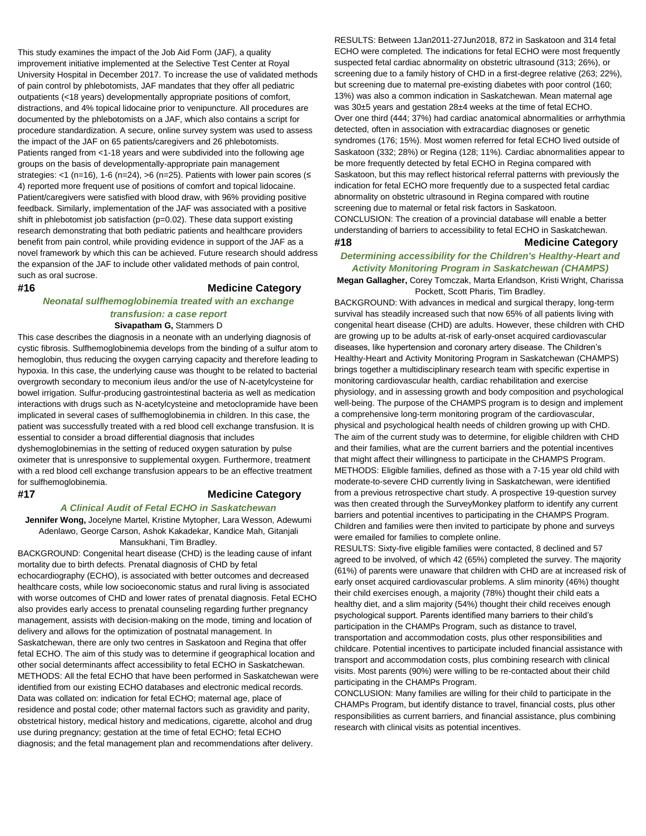This study examines the impact of the Job Aid Form (JAF), a quality improvement initiative implemented at the Selective Test Center at Royal University Hospital in December 2017. To increase the use of validated methods of pain control by phlebotomists, JAF mandates that they offer all pediatric outpatients (<18 years) developmentally appropriate positions of comfort, distractions, and 4% topical lidocaine prior to venipuncture. All procedures are documented by the phlebotomists on a JAF, which also contains a script for procedure standardization. A secure, online survey system was used to assess the impact of the JAF on 65 patients/caregivers and 26 phlebotomists. Patients ranged from <1-18 years and were subdivided into the following age groups on the basis of developmentally-appropriate pain management strategies: <1 (n=16), 1-6 (n=24), >6 (n=25). Patients with lower pain scores (≤ 4) reported more frequent use of positions of comfort and topical lidocaine. Patient/caregivers were satisfied with blood draw, with 96% providing positive feedback. Similarly, implementation of the JAF was associated with a positive shift in phlebotomist job satisfaction (p=0.02). These data support existing research demonstrating that both pediatric patients and healthcare providers benefit from pain control, while providing evidence in support of the JAF as a novel framework by which this can be achieved. Future research should address the expansion of the JAF to include other validated methods of pain control, such as oral sucrose.

# **#16 Medicine Category**

# *Neonatal sulfhemoglobinemia treated with an exchange transfusion: a case report*

**Sivapatham G,** Stammers D

This case describes the diagnosis in a neonate with an underlying diagnosis of cystic fibrosis. Sulfhemoglobinemia develops from the binding of a sulfur atom to hemoglobin, thus reducing the oxygen carrying capacity and therefore leading to hypoxia. In this case, the underlying cause was thought to be related to bacterial overgrowth secondary to meconium ileus and/or the use of N-acetylcysteine for bowel irrigation. Sulfur-producing gastrointestinal bacteria as well as medication interactions with drugs such as N-acetylcysteine and metoclopramide have been implicated in several cases of sulfhemoglobinemia in children. In this case, the patient was successfully treated with a red blood cell exchange transfusion. It is essential to consider a broad differential diagnosis that includes dyshemoglobinemias in the setting of reduced oxygen saturation by pulse oximeter that is unresponsive to supplemental oxygen. Furthermore, treatment with a red blood cell exchange transfusion appears to be an effective treatment

for sulfhemoglobinemia.

# **#17 Medicine Category**

# *A Clinical Audit of Fetal ECHO in Saskatchewan*

**Jennifer Wong,** Jocelyne Martel, Kristine Mytopher, Lara Wesson, Adewumi Adenlawo, George Carson, Ashok Kakadekar, Kandice Mah, Gitanjali Mansukhani, Tim Bradley.

BACKGROUND: Congenital heart disease (CHD) is the leading cause of infant mortality due to birth defects. Prenatal diagnosis of CHD by fetal echocardiography (ECHO), is associated with better outcomes and decreased healthcare costs, while low socioeconomic status and rural living is associated with worse outcomes of CHD and lower rates of prenatal diagnosis. Fetal ECHO also provides early access to prenatal counseling regarding further pregnancy management, assists with decision-making on the mode, timing and location of delivery and allows for the optimization of postnatal management. In Saskatchewan, there are only two centres in Saskatoon and Regina that offer fetal ECHO. The aim of this study was to determine if geographical location and other social determinants affect accessibility to fetal ECHO in Saskatchewan. METHODS: All the fetal ECHO that have been performed in Saskatchewan were identified from our existing ECHO databases and electronic medical records. Data was collated on: indication for fetal ECHO; maternal age, place of residence and postal code; other maternal factors such as gravidity and parity, obstetrical history, medical history and medications, cigarette, alcohol and drug use during pregnancy; gestation at the time of fetal ECHO; fetal ECHO diagnosis; and the fetal management plan and recommendations after delivery.

RESULTS: Between 1Jan2011-27Jun2018, 872 in Saskatoon and 314 fetal ECHO were completed. The indications for fetal ECHO were most frequently suspected fetal cardiac abnormality on obstetric ultrasound (313; 26%), or screening due to a family history of CHD in a first-degree relative (263; 22%), but screening due to maternal pre-existing diabetes with poor control (160; 13%) was also a common indication in Saskatchewan. Mean maternal age was 30±5 years and gestation 28±4 weeks at the time of fetal ECHO. Over one third (444; 37%) had cardiac anatomical abnormalities or arrhythmia detected, often in association with extracardiac diagnoses or genetic syndromes (176; 15%). Most women referred for fetal ECHO lived outside of Saskatoon (332; 28%) or Regina (128; 11%). Cardiac abnormalities appear to be more frequently detected by fetal ECHO in Regina compared with Saskatoon, but this may reflect historical referral patterns with previously the indication for fetal ECHO more frequently due to a suspected fetal cardiac abnormality on obstetric ultrasound in Regina compared with routine screening due to maternal or fetal risk factors in Saskatoon. CONCLUSION: The creation of a provincial database will enable a better understanding of barriers to accessibility to fetal ECHO in Saskatchewan.

# **#18 Medicine Category**

# *Determining accessibility for the Children's Healthy-Heart and Activity Monitoring Program in Saskatchewan (CHAMPS)*

**Megan Gallagher,** Corey Tomczak, Marta Erlandson, Kristi Wright, Charissa Pockett, Scott Pharis, Tim Bradley.

BACKGROUND: With advances in medical and surgical therapy, long-term survival has steadily increased such that now 65% of all patients living with congenital heart disease (CHD) are adults. However, these children with CHD are growing up to be adults at-risk of early-onset acquired cardiovascular diseases, like hypertension and coronary artery disease. The Children's Healthy-Heart and Activity Monitoring Program in Saskatchewan (CHAMPS) brings together a multidisciplinary research team with specific expertise in monitoring cardiovascular health, cardiac rehabilitation and exercise physiology, and in assessing growth and body composition and psychological well-being. The purpose of the CHAMPS program is to design and implement a comprehensive long-term monitoring program of the cardiovascular, physical and psychological health needs of children growing up with CHD. The aim of the current study was to determine, for eligible children with CHD and their families, what are the current barriers and the potential incentives that might affect their willingness to participate in the CHAMPS Program. METHODS: Eligible families, defined as those with a 7-15 year old child with moderate-to-severe CHD currently living in Saskatchewan, were identified from a previous retrospective chart study. A prospective 19-question survey was then created through the SurveyMonkey platform to identify any current barriers and potential incentives to participating in the CHAMPS Program. Children and families were then invited to participate by phone and surveys were emailed for families to complete online.

RESULTS: Sixty-five eligible families were contacted, 8 declined and 57 agreed to be involved, of which 42 (65%) completed the survey. The majority (61%) of parents were unaware that children with CHD are at increased risk of early onset acquired cardiovascular problems. A slim minority (46%) thought their child exercises enough, a majority (78%) thought their child eats a healthy diet, and a slim majority (54%) thought their child receives enough psychological support. Parents identified many barriers to their child's participation in the CHAMPs Program, such as distance to travel, transportation and accommodation costs, plus other responsibilities and childcare. Potential incentives to participate included financial assistance with transport and accommodation costs, plus combining research with clinical visits. Most parents (90%) were willing to be re-contacted about their child participating in the CHAMPs Program.

CONCLUSION: Many families are willing for their child to participate in the CHAMPs Program, but identify distance to travel, financial costs, plus other responsibilities as current barriers, and financial assistance, plus combining research with clinical visits as potential incentives.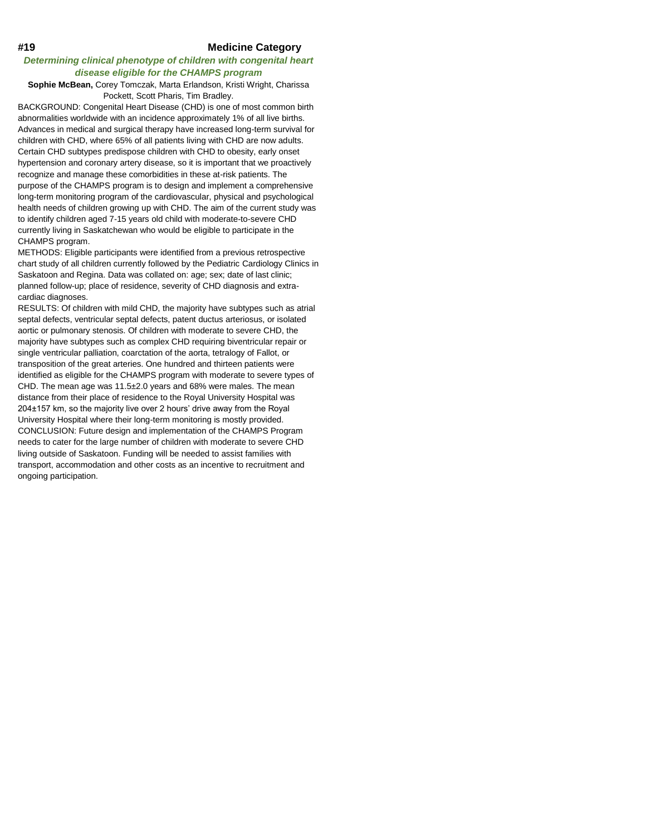# **#19 Medicine Category**

# *Determining clinical phenotype of children with congenital heart disease eligible for the CHAMPS program*

# **Sophie McBean,** Corey Tomczak, Marta Erlandson, Kristi Wright, Charissa Pockett, Scott Pharis, Tim Bradley.

BACKGROUND: Congenital Heart Disease (CHD) is one of most common birth abnormalities worldwide with an incidence approximately 1% of all live births. Advances in medical and surgical therapy have increased long-term survival for children with CHD, where 65% of all patients living with CHD are now adults. Certain CHD subtypes predispose children with CHD to obesity, early onset hypertension and coronary artery disease, so it is important that we proactively recognize and manage these comorbidities in these at-risk patients. The purpose of the CHAMPS program is to design and implement a comprehensive long-term monitoring program of the cardiovascular, physical and psychological health needs of children growing up with CHD. The aim of the current study was to identify children aged 7-15 years old child with moderate-to-severe CHD currently living in Saskatchewan who would be eligible to participate in the CHAMPS program.

METHODS: Eligible participants were identified from a previous retrospective chart study of all children currently followed by the Pediatric Cardiology Clinics in Saskatoon and Regina. Data was collated on: age; sex; date of last clinic; planned follow-up; place of residence, severity of CHD diagnosis and extracardiac diagnoses.

RESULTS: Of children with mild CHD, the majority have subtypes such as atrial septal defects, ventricular septal defects, patent ductus arteriosus, or isolated aortic or pulmonary stenosis. Of children with moderate to severe CHD, the majority have subtypes such as complex CHD requiring biventricular repair or single ventricular palliation, coarctation of the aorta, tetralogy of Fallot, or transposition of the great arteries. One hundred and thirteen patients were identified as eligible for the CHAMPS program with moderate to severe types of CHD. The mean age was 11.5±2.0 years and 68% were males. The mean distance from their place of residence to the Royal University Hospital was 204±157 km, so the majority live over 2 hours' drive away from the Royal University Hospital where their long-term monitoring is mostly provided. CONCLUSION: Future design and implementation of the CHAMPS Program needs to cater for the large number of children with moderate to severe CHD living outside of Saskatoon. Funding will be needed to assist families with transport, accommodation and other costs as an incentive to recruitment and ongoing participation.